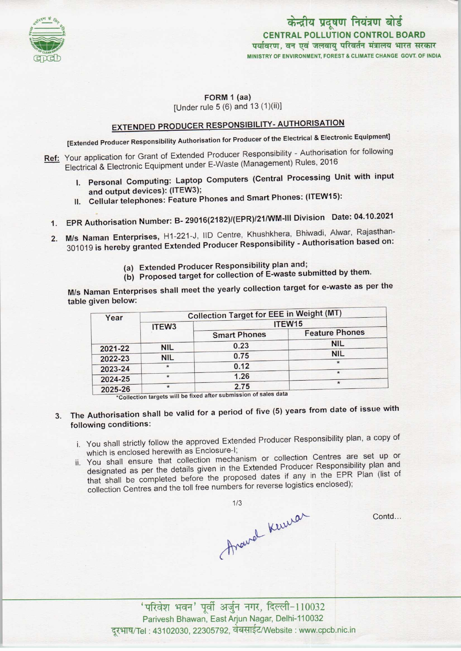

केन्द्रीय प्रदूषण नियंत्रण बोर्ड CENTRAL POLLUTION CONTROL BOARD पर्यावरण, वन एवं जलवायु परिवर्तन मंत्रालय भारत सरकार MINISTRY OF ENVIRONMENT. FOREST S CLIMATE CHANGE GOVT. OF INDIA

### FORM 1 (aa)

[Under rule 5 (6) and 13 (1)(ii)]

# EXTENDED PRODUCER RESPONSIBILITY- AUTHORISATION

[Extended Producer Responsibility Authorisation for Producer of the Electrical & Electronic Equipment]

- Ref: Your application for Grant of Extended Producer Responsibility Authorisation for following Electrical & Electronic Equipment under E-Waste (Management) Rules, 2016
	- I. Personal Computing: Laptop Computers (Central Processing Unit with input and output devices): (ITEW3);
	- II. Cellular telephones: Feature Phones and Smart Phones: (ITEW15):
	- 1.EPR Authorisation Number: B- 29016(2182)/(EPR)/21/WM-lll Division Date: 04.10.2021
	- 2. M/s Naman Enterprises, H1-221-J, IID Centre, Khushkhera, Bhiwadi, Alwar, Rajasthan-301019 is hereby granted Extended Producer Responsibility - Authorisation based on:
		- (a)Extended Producer Responsibility plan and;
		- (b) Proposed target for collection of E-waste submitted by them.

M/s Naman Enterprises shall meet the yearly collection target for e-waste as per the table given below:

| Year    | <b>Collection Target for EEE in Weight (MT)</b> |                                                                                                                                                                                                                                                                                                                             |                       |
|---------|-------------------------------------------------|-----------------------------------------------------------------------------------------------------------------------------------------------------------------------------------------------------------------------------------------------------------------------------------------------------------------------------|-----------------------|
|         | ITEW <sub>3</sub>                               | ITEW15                                                                                                                                                                                                                                                                                                                      |                       |
|         |                                                 | <b>Smart Phones</b>                                                                                                                                                                                                                                                                                                         | <b>Feature Phones</b> |
| 2021-22 | <b>NIL</b>                                      | 0.23                                                                                                                                                                                                                                                                                                                        | <b>NIL</b>            |
| 2022-23 | <b>NIL</b>                                      | 0.75                                                                                                                                                                                                                                                                                                                        | <b>NIL</b>            |
|         |                                                 | 0.12                                                                                                                                                                                                                                                                                                                        | $\star$               |
| 2023-24 | $\star$                                         | 1.26                                                                                                                                                                                                                                                                                                                        | $\star$               |
| 2024-25 |                                                 |                                                                                                                                                                                                                                                                                                                             | $\star$               |
| 2025-26 |                                                 | 2.75<br>$\frac{1}{2}$ $\frac{1}{2}$ $\frac{1}{2}$ $\frac{1}{2}$ $\frac{1}{2}$ $\frac{1}{2}$ $\frac{1}{2}$ $\frac{1}{2}$ $\frac{1}{2}$ $\frac{1}{2}$ $\frac{1}{2}$ $\frac{1}{2}$ $\frac{1}{2}$ $\frac{1}{2}$ $\frac{1}{2}$ $\frac{1}{2}$ $\frac{1}{2}$ $\frac{1}{2}$ $\frac{1}{2}$ $\frac{1}{2}$ $\frac{1}{2}$ $\frac{1}{2}$ |                       |

\*Collection targets will be fixed after submission of sales data

- 3. The Authorisation shall be valid for a period of five (5) years from date of issue with following conditions:
	- i. You shall strictly follow the approved Extended Producer Responsibility plan, a copy of which is enclosed herewith as Enclosure-I;
	- ii. You shall ensure that collection mechanism or collection Centres are set up or designated as per the details given in the Extended Producer Responsibility plan and that shall be completed before the proposed dates if any in the EPR Plan (list of collection Centres and the toll free numbers for reverse logistics enclosed);

thawal kewer

Contd...

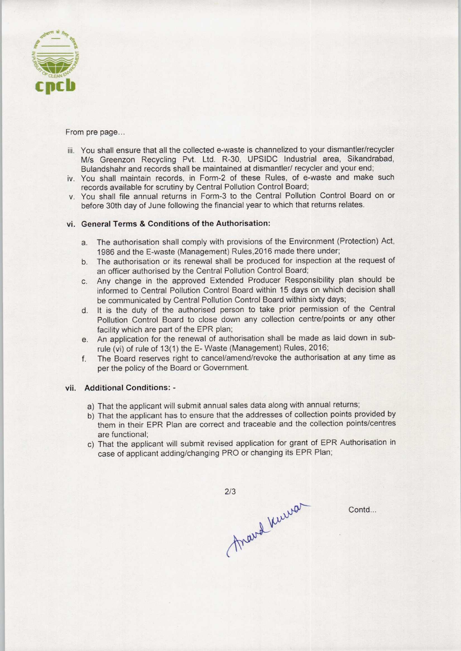

From pre page...

- iii. You shall ensure that all the collected e-waste is channelized to your dismantler/recycler M/s Greenzon Recycling Pvt. Ltd. R-30, UPSIDC Industrial area, Sikandrabad, Bulandshahr and records shall be maintained at dismantler/ recycler and your end;
- iv. You shall maintain records, in Form-2 of these Rules, of e-waste and make such records available for scrutiny by Central Pollution Control Board;
- v. You shall file annual returns in Form-3 to the Central Pollution Control Board on or before 30th day of June following the financial year to which that returns relates.

#### vi. General Terms & Conditions of the Authorisation:

- a.The authorisation shall comply with provisions of the Environment (Protection) Act, 1986 and the E-waste (Management) Rules,2016 made there under;
- b. The authorisation or its renewal shall be produced for inspection at the request of an officer authorised by the Central Pollution Control Board;
- c.Any change in the approved Extended Producer Responsibility plan should be informed to Central Pollution Control Board within 15 days on which decision shall be communicated by Central Pollution Control Board within sixty days;
- d. It is the duty of the authorised person to take prior permission of the Central Pollution Control Board to close down any collection centre/points or any other facility which are part of the EPR plan;
- e. An application for the renewal of authorisation shall be made as laid down in subrule (vi) of rule of 13(1) the E-Waste (Management) Rules, 2016;
- f. The Board reserves right to cancel/amend/revoke the authorisation at any time as per the policy of the Board or Government.

## vii. Additional Conditions: -

- a) That the applicant will submit annual sales data along with annual returns;
- b) That the applicant has to ensure that the addresses of collection points provided by them in their EPR Plan are correct and traceable and the collection points/centres are functional;
- c) That the applicant will submit revised application for grant of EPR Authorisation in case of applicant adding/changing PRO or changing its EPR Plan;

mard knewar

Contd...